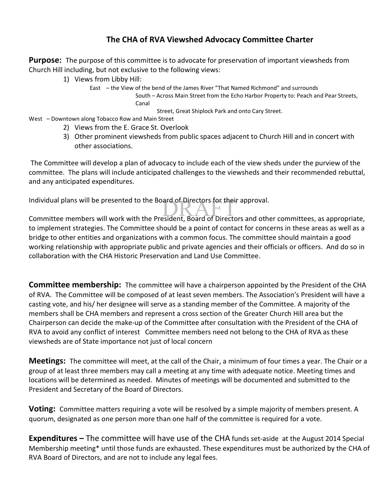## **The CHA of RVA Viewshed Advocacy Committee Charter**

**Purpose:** The purpose of this committee is to advocate for preservation of important viewsheds from Church Hill including, but not exclusive to the following views:

- 1) Views from Libby Hill:
	- East the View of the bend of the James River "That Named Richmond" and surrounds South – Across Main Street from the Echo Harbor Property to: Peach and Pear Streets, Canal

Street, Great Shiplock Park and onto Cary Street.

- West Downtown along Tobacco Row and Main Street
	- 2) Views from the E. Grace St. Overlook
	- 3) Other prominent viewsheds from public spaces adjacent to Church Hill and in concert with other associations.

The Committee will develop a plan of advocacy to include each of the view sheds under the purview of the committee. The plans will include anticipated challenges to the viewsheds and their recommended rebuttal, and any anticipated expenditures.

Individual plans will be presented to the Board of Directors for their approval.

Individual plans will be presented to the Board of Directors for their approval.<br>Committee members will work with the President, Board of Directors and other committees, as appropriate, to implement strategies. The Committee should be a point of contact for concerns in these areas as well as a bridge to other entities and organizations with a common focus. The committee should maintain a good working relationship with appropriate public and private agencies and their officials or officers. And do so in collaboration with the CHA Historic Preservation and Land Use Committee.

**Committee membership:** The committee will have a chairperson appointed by the President of the CHA of RVA. The Committee will be composed of at least seven members. The Association's President will have a casting vote, and his/ her designee will serve as a standing member of the Committee. A majority of the members shall be CHA members and represent a cross section of the Greater Church Hill area but the Chairperson can decide the make-up of the Committee after consultation with the President of the CHA of RVA to avoid any conflict of interest Committee members need not belong to the CHA of RVA as these viewsheds are of State importance not just of local concern

**Meetings:** The committee will meet, at the call of the Chair, a minimum of four times a year. The Chair or a group of at least three members may call a meeting at any time with adequate notice. Meeting times and locations will be determined as needed. Minutes of meetings will be documented and submitted to the President and Secretary of the Board of Directors.

**Voting:** Committee matters requiring a vote will be resolved by a simple majority of members present. A quorum, designated as one person more than one half of the committee is required for a vote.

**Expenditures –** The committee will have use of the CHA funds set-aside at the August 2014 Special Membership meeting\* until those funds are exhausted. These expenditures must be authorized by the CHA of RVA Board of Directors, and are not to include any legal fees.